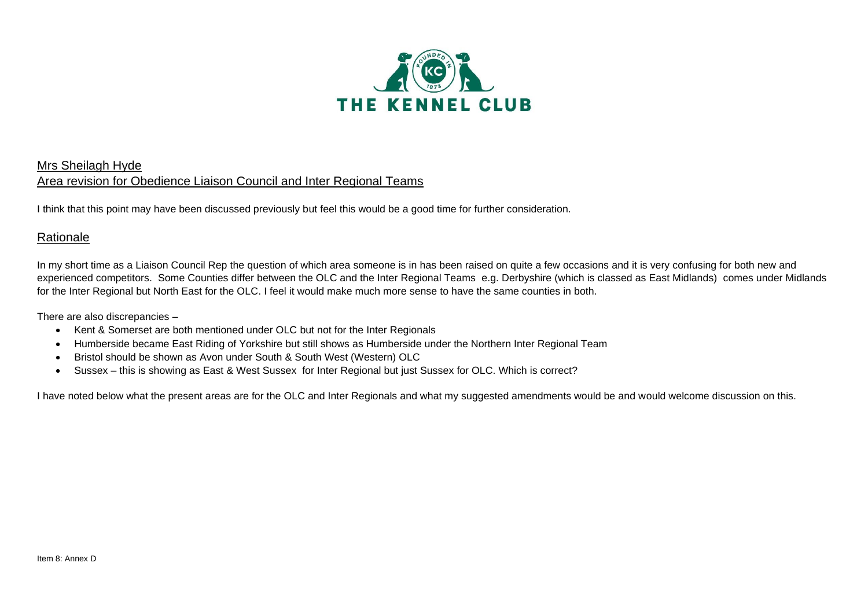

### Mrs Sheilagh Hyde Area revision for Obedience Liaison Council and Inter Regional Teams

I think that this point may have been discussed previously but feel this would be a good time for further consideration.

## **Rationale**

In my short time as a Liaison Council Rep the question of which area someone is in has been raised on quite a few occasions and it is very confusing for both new and experienced competitors. Some Counties differ between the OLC and the Inter Regional Teams e.g. Derbyshire (which is classed as East Midlands) comes under Midlands for the Inter Regional but North East for the OLC. I feel it would make much more sense to have the same counties in both.

There are also discrepancies –

- Kent & Somerset are both mentioned under OLC but not for the Inter Regionals
- Humberside became East Riding of Yorkshire but still shows as Humberside under the Northern Inter Regional Team
- Bristol should be shown as Avon under South & South West (Western) OLC
- Sussex this is showing as East & West Sussex for Inter Regional but just Sussex for OLC. Which is correct?

I have noted below what the present areas are for the OLC and Inter Regionals and what my suggested amendments would be and would welcome discussion on this.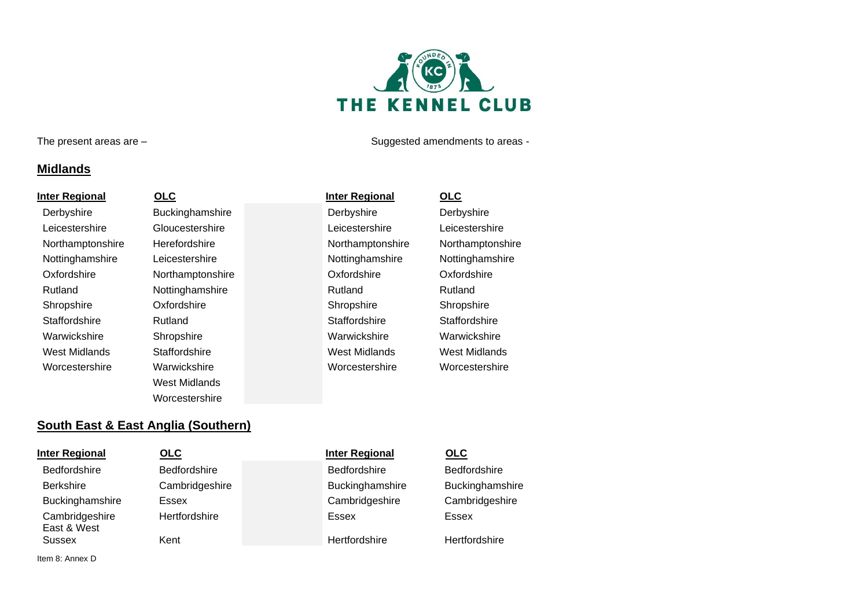# THE KENNEL CLUB

The present areas are – Suggested amendments to areas -

## **Midlands**

**Inter Regional OLC Inter Regional OLC** Derbyshire **Buckinghamshire** Derbyshire **Derbyshire** Derbyshire Leicestershire Gloucestershire Leicestershire Leicestershire Northamptonshire Herefordshire **Northamptonshire** Northamptonshire Northamptonshire Nottinghamshire Leicestershire Nottinghamshire Nottinghamshire Nottinghamshire Oxfordshire **Northamptonshire** Oxfordshire Oxfordshire Oxfordshire Rutland **Nottinghamshire** Rutland Rutland Rutland Shropshire **Shropshire** Oxfordshire Shropshire Shropshire Shropshire Shropshire Staffordshire **Staffordshire** Rutland Staffordshire Staffordshire Staffordshire Warwickshire Shropshire Warwickshire Warwickshire West Midlands Staffordshire West Midlands West Midlands Worcestershire Warwickshire Worcestershire Worcestershire West Midlands Worcestershire

## **South East & East Anglia (Southern)**

| <b>Inter Regional</b>         | OLC            | <b>Inter Regional</b> | <b>OLC</b>    |
|-------------------------------|----------------|-----------------------|---------------|
| <b>Bedfordshire</b>           | Bedfordshire   | <b>Bedfordshire</b>   | <b>Bedfo</b>  |
| <b>Berkshire</b>              | Cambridgeshire | Buckinghamshire       | <b>Buckir</b> |
| Buckinghamshire               | Essex          | Cambridgeshire        | Camb          |
| Cambridgeshire<br>East & West | Hertfordshire  | Essex                 | Essex         |
| Sussex                        | Kent           | Hertfordshire         | Hertfo        |

Bedfordshire **Buckinghamshire Cambridgeshire Hertfordshire** 

Item 8: Annex D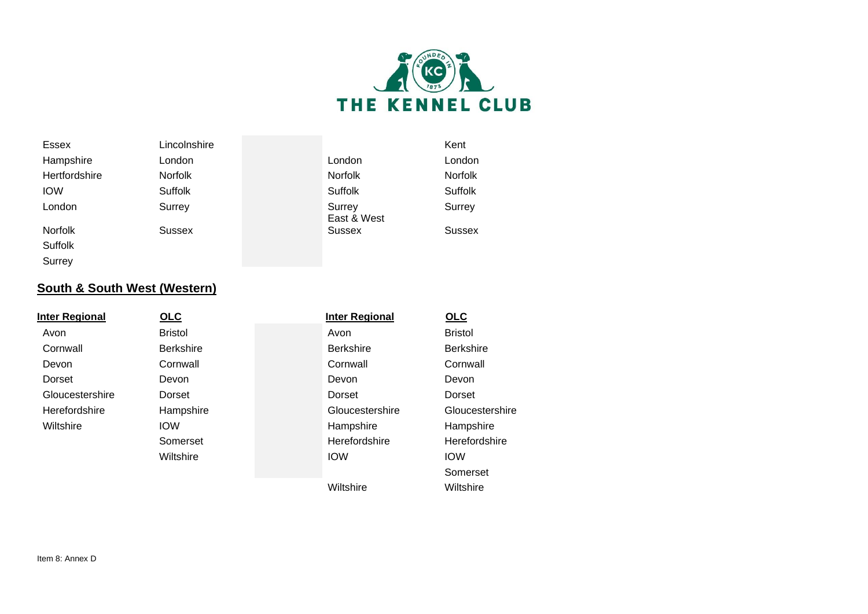

| <b>Essex</b>   | Lincolnshire   |                       | Kent           |
|----------------|----------------|-----------------------|----------------|
| Hampshire      | London         | London                | London         |
| Hertfordshire  | <b>Norfolk</b> | <b>Norfolk</b>        | <b>Norfolk</b> |
| <b>IOW</b>     | <b>Suffolk</b> | Suffolk               | Suffolk        |
| London         | Surrey         | Surrey<br>East & West | Surrey         |
| <b>Norfolk</b> | <b>Sussex</b>  | <b>Sussex</b>         | Sussex         |
| Suffolk        |                |                       |                |

## **South & South West (Western)**

| <b>Inter Regional</b> | OLC              | <b>Inter Regional</b> | OLC              |  |
|-----------------------|------------------|-----------------------|------------------|--|
| Avon                  | <b>Bristol</b>   | Avon                  | <b>Bristol</b>   |  |
| Cornwall              | <b>Berkshire</b> | <b>Berkshire</b>      | <b>Berkshire</b> |  |
| Devon                 | Cornwall         | Cornwall              | Cornwall         |  |
| Dorset                | Devon            | Devon                 | Devon            |  |
| Gloucestershire       | Dorset           | Dorset                | Dorset           |  |
| Herefordshire         | Hampshire        | Gloucestershire       | Gloucestershire  |  |
| Wiltshire             | <b>IOW</b>       | Hampshire             | Hampshire        |  |
|                       | Somerset         | Herefordshire         | Herefordshire    |  |
|                       | Wiltshire        | <b>IOW</b>            | <b>IOW</b>       |  |
|                       |                  |                       | Somerset         |  |
|                       |                  | Wiltshire             | Wiltshire        |  |

Surrey